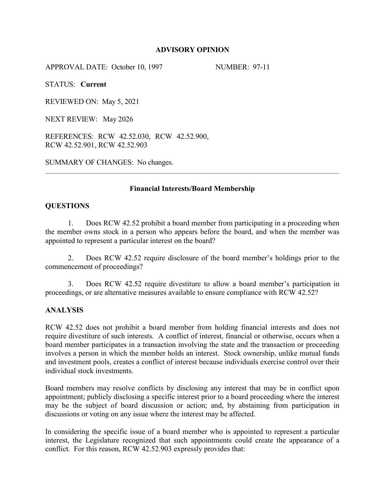## **ADVISORY OPINION**

APPROVAL DATE: October 10, 1997 NUMBER: 97-11

STATUS: **Current**

REVIEWED ON: May 5, 2021

NEXT REVIEW: May 2026

REFERENCES: RCW 42.52.030, RCW 42.52.900, RCW 42.52.901, RCW 42.52.903

SUMMARY OF CHANGES: No changes.

## **Financial Interests/Board Membership**

## **QUESTIONS**

1. Does RCW 42.52 prohibit a board member from participating in a proceeding when the member owns stock in a person who appears before the board, and when the member was appointed to represent a particular interest on the board?

2. Does RCW 42.52 require disclosure of the board member's holdings prior to the commencement of proceedings?

3. Does RCW 42.52 require divestiture to allow a board member's participation in proceedings, or are alternative measures available to ensure compliance with RCW 42.52?

## **ANALYSIS**

RCW 42.52 does not prohibit a board member from holding financial interests and does not require divestiture of such interests. A conflict of interest, financial or otherwise, occurs when a board member participates in a transaction involving the state and the transaction or proceeding involves a person in which the member holds an interest. Stock ownership, unlike mutual funds and investment pools, creates a conflict of interest because individuals exercise control over their individual stock investments.

Board members may resolve conflicts by disclosing any interest that may be in conflict upon appointment; publicly disclosing a specific interest prior to a board proceeding where the interest may be the subject of board discussion or action; and, by abstaining from participation in discussions or voting on any issue where the interest may be affected.

In considering the specific issue of a board member who is appointed to represent a particular interest, the Legislature recognized that such appointments could create the appearance of a conflict. For this reason, RCW 42.52.903 expressly provides that: